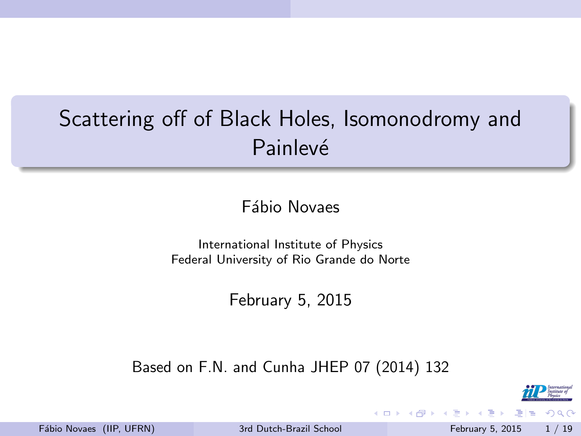# <span id="page-0-0"></span>Scattering off of Black Holes, Isomonodromy and Painlevé

Fábio Novaes

International Institute of Physics Federal University of Rio Grande do Norte

February 5, 2015

Based on F.N. and Cunha JHEP 07 (2014) 132



 $200$ 

Fábio Novaes (IIP, UFRN) [3rd Dutch-Brazil School](#page-21-0) February 5, 2015 1/19

÷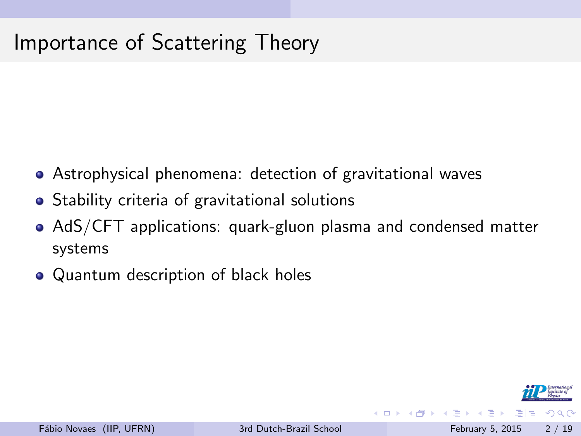# Importance of Scattering Theory

- Astrophysical phenomena: detection of gravitational waves
- Stability criteria of gravitational solutions
- AdS/CFT applications: quark-gluon plasma and condensed matter systems
- Quantum description of black holes



ミメスミメ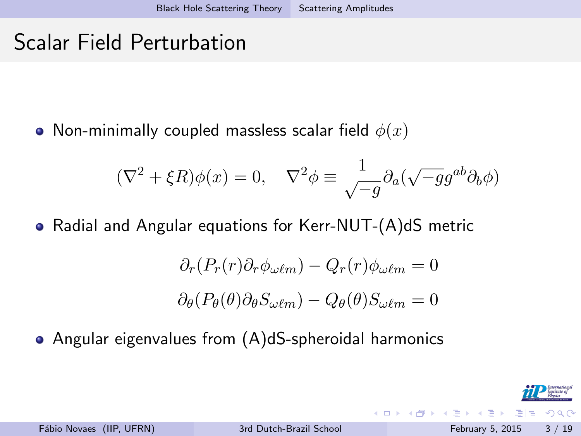# <span id="page-2-0"></span>Scalar Field Perturbation

• Non-minimally coupled massless scalar field  $\phi(x)$ 

$$
(\nabla^2 + \xi R)\phi(x) = 0, \quad \nabla^2 \phi \equiv \frac{1}{\sqrt{-g}} \partial_a(\sqrt{-g}g^{ab}\partial_b \phi)
$$

Radial and Angular equations for Kerr-NUT-(A)dS metric

$$
\partial_r (P_r(r)\partial_r \phi_{\omega\ell m}) - Q_r(r)\phi_{\omega\ell m} = 0
$$

$$
\partial_\theta (P_\theta(\theta)\partial_\theta S_{\omega\ell m}) - Q_\theta(\theta)S_{\omega\ell m} = 0
$$

Angular eigenvalues from (A)dS-spheroidal harmonics



п.

모바람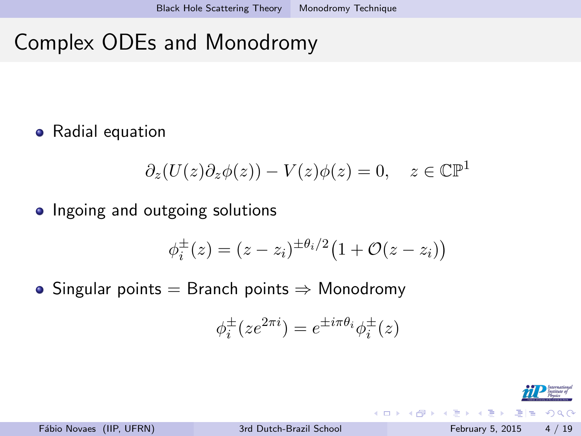# <span id="page-3-0"></span>Complex ODEs and Monodromy

• Radial equation

$$
\partial_z(U(z)\partial_z\phi(z)) - V(z)\phi(z) = 0, \quad z \in \mathbb{CP}^1
$$

• Ingoing and outgoing solutions

$$
\phi_i^{\pm}(z) = (z - z_i)^{\pm \theta_i/2} (1 + \mathcal{O}(z - z_i))
$$

• Singular points  $=$  Branch points  $\Rightarrow$  Monodromy

$$
\phi_i^{\pm}(ze^{2\pi i})=e^{\pm i\pi\theta_i}\phi_i^{\pm}(z)
$$

4 D F

 $\Omega$ 

na ma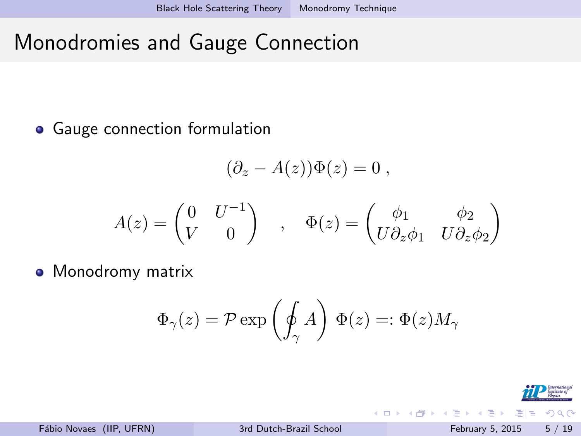# <span id="page-4-0"></span>Monodromies and Gauge Connection

Gauge connection formulation

$$
(\partial_z - A(z))\Phi(z) = 0 ,
$$

$$
A(z) = \begin{pmatrix} 0 & U^{-1} \\ V & 0 \end{pmatrix} , \quad \Phi(z) = \begin{pmatrix} \phi_1 & \phi_2 \\ U \partial_z \phi_1 & U \partial_z \phi_2 \end{pmatrix}
$$

• Monodromy matrix

$$
\Phi_\gamma(z) = \mathcal{P} \exp\left( \oint_\gamma A \right) \, \Phi(z) =: \Phi(z) M_\gamma
$$

4 D F



모바람

na ma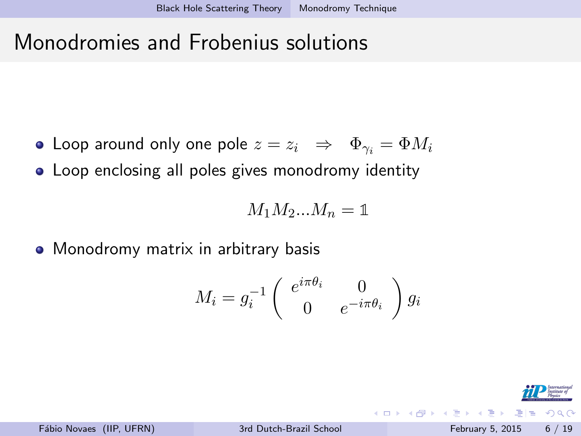#### <span id="page-5-0"></span>Monodromies and Frobenius solutions

- Loop around only one pole  $z = z_i \Rightarrow \Phi_{\gamma_i} = \Phi M_i$
- Loop enclosing all poles gives monodromy identity

 $M_1M_2...M_n = 1$ 

• Monodromy matrix in arbitrary basis

$$
M_i = g_i^{-1} \begin{pmatrix} e^{i\pi\theta_i} & 0\\ 0 & e^{-i\pi\theta_i} \end{pmatrix} g_i
$$



イロト イ押ト イヨト イヨト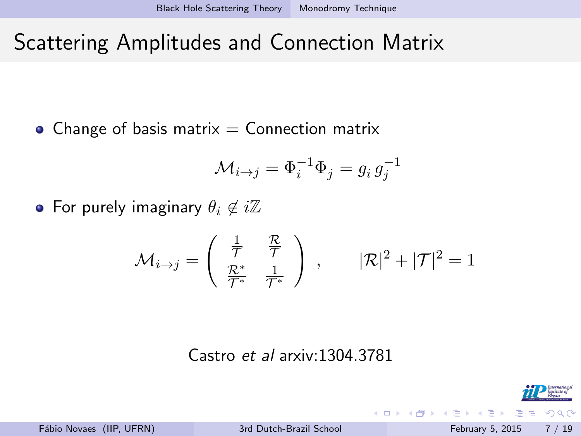# <span id="page-6-0"></span>Scattering Amplitudes and Connection Matrix

• Change of basis matrix  $=$  Connection matrix

$$
\mathcal{M}_{i \to j} = \Phi_i^{-1} \Phi_j = g_i g_j^{-1}
$$

• For purely imaginary  $\theta_i \notin i\mathbb{Z}$ 

$$
\mathcal{M}_{i \to j} = \begin{pmatrix} \frac{1}{\mathcal{T}} & \frac{\mathcal{R}}{\mathcal{T}} \\ \frac{\mathcal{R}^*}{\mathcal{T}^*} & \frac{1}{\mathcal{T}^*} \end{pmatrix} , \qquad |\mathcal{R}|^2 + |\mathcal{T}|^2 = 1
$$

#### Castro et al arxiv:1304.3781

모바람 Fábio Novaes (IIP, UFRN) [3rd Dutch-Brazil School](#page-0-0) February 5, 2015 7 / 19

 $\Omega$ 

 $\rightarrow$   $\pm$ 

4 D F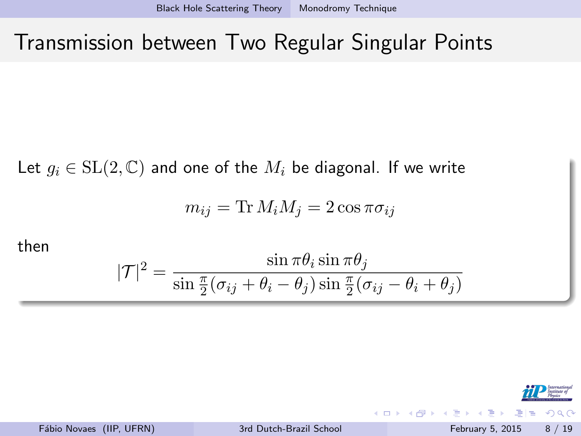#### <span id="page-7-0"></span>Transmission between Two Regular Singular Points

Let  $g_i \in SL(2, \mathbb{C})$  and one of the  $M_i$  be diagonal. If we write

$$
m_{ij} = \text{Tr} M_i M_j = 2 \cos \pi \sigma_{ij}
$$

then

$$
|\mathcal{T}|^2 = \frac{\sin \pi \theta_i \sin \pi \theta_j}{\sin \frac{\pi}{2} (\sigma_{ij} + \theta_i - \theta_j) \sin \frac{\pi}{2} (\sigma_{ij} - \theta_i + \theta_j)}
$$



 $200$ 

Fábio Novaes (IIP, UFRN) [3rd Dutch-Brazil School](#page-0-0) February 5, 2015 8 / 19

÷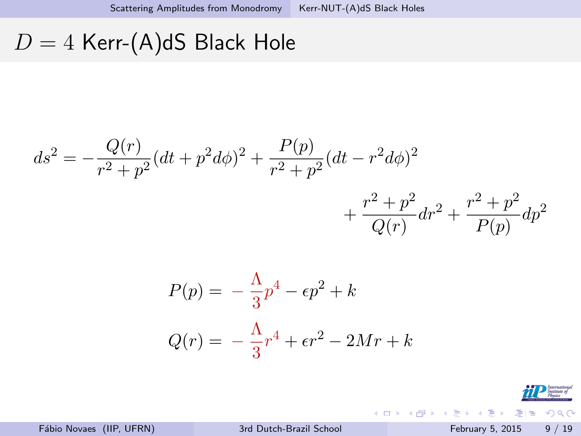# <span id="page-8-0"></span> $D = 4$  Kerr-(A)dS Black Hole

$$
ds^{2} = -\frac{Q(r)}{r^{2} + p^{2}}(dt + p^{2}d\phi)^{2} + \frac{P(p)}{r^{2} + p^{2}}(dt - r^{2}d\phi)^{2} + \frac{r^{2} + p^{2}}{Q(r)}dr^{2} + \frac{r^{2} + p^{2}}{P(p)}dp^{2}
$$

$$
P(p) = -\frac{\Lambda}{3}p^4 - \epsilon p^2 + k
$$

$$
Q(r) = -\frac{\Lambda}{3}r^4 + \epsilon r^2 - 2Mr + k
$$

titute of  $E|E = \Omega Q$ 

검사 K 검사

**K ロ ト K 伊 ト K**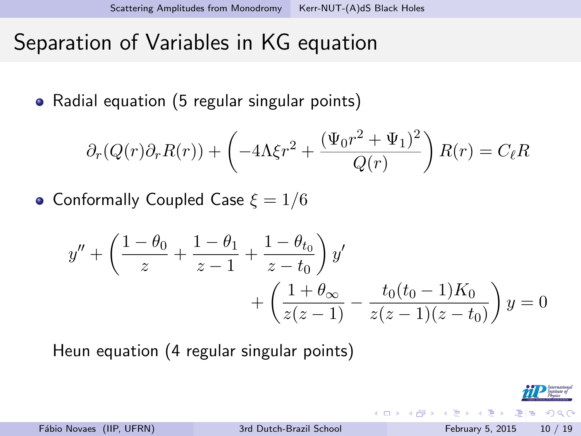#### <span id="page-9-0"></span>Separation of Variables in KG equation

• Radial equation (5 regular singular points)

$$
\partial_r(Q(r)\partial_r R(r)) + \left(-4\Lambda\xi r^2 + \frac{(\Psi_0 r^2 + \Psi_1)^2}{Q(r)}\right)R(r) = C_{\ell}R
$$

• Conformally Coupled Case  $\xi = 1/6$ 

$$
y'' + \left(\frac{1-\theta_0}{z} + \frac{1-\theta_1}{z-1} + \frac{1-\theta_{t_0}}{z-t_0}\right)y' + \left(\frac{1+\theta_{\infty}}{z(z-1)} - \frac{t_0(t_0-1)K_0}{z(z-1)(z-t_0)}\right)y = 0
$$

Heun equation (4 regular singular points)



na m≊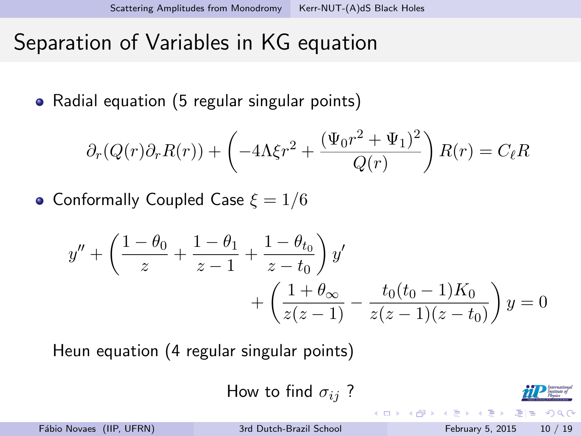#### <span id="page-10-0"></span>Separation of Variables in KG equation

• Radial equation (5 regular singular points)

$$
\partial_r(Q(r)\partial_r R(r)) + \left(-4\Lambda\xi r^2 + \frac{(\Psi_0 r^2 + \Psi_1)^2}{Q(r)}\right)R(r) = C_{\ell}R
$$

• Conformally Coupled Case  $\xi = 1/6$ 

$$
y'' + \left(\frac{1-\theta_0}{z} + \frac{1-\theta_1}{z-1} + \frac{1-\theta_{t_0}}{z-t_0}\right)y' + \left(\frac{1+\theta_{\infty}}{z(z-1)} - \frac{t_0(t_0-1)K_0}{z(z-1)(z-t_0)}\right)y = 0
$$

Heun equation (4 regular singular points)

How to find 
$$
\sigma_{ij}
$$
?



 $E|E \cap Q$ 

na m≊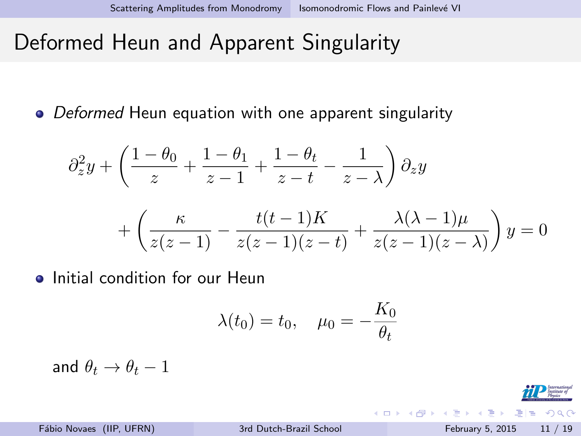# <span id="page-11-0"></span>Deformed Heun and Apparent Singularity

• Deformed Heun equation with one apparent singularity

$$
\partial_z^2 y + \left(\frac{1-\theta_0}{z} + \frac{1-\theta_1}{z-1} + \frac{1-\theta_t}{z-t} - \frac{1}{z-\lambda}\right) \partial_z y
$$

$$
+ \left(\frac{\kappa}{z(z-1)} - \frac{t(t-1)K}{z(z-1)(z-t)} + \frac{\lambda(\lambda-1)\mu}{z(z-1)(z-\lambda)}\right) y = 0
$$

**•** Initial condition for our Heun

$$
\lambda(t_0) = t_0, \quad \mu_0 = -\frac{K_0}{\theta_t}
$$

and  $\theta_t \rightarrow \theta_t - 1$ 

Fábio Novaes (IIP, UFRN) [3rd Dutch-Brazil School](#page-0-0) February 5, 2015 11 / 19

 $F = \Omega Q$ 

イロト イ押ト イヨト イヨト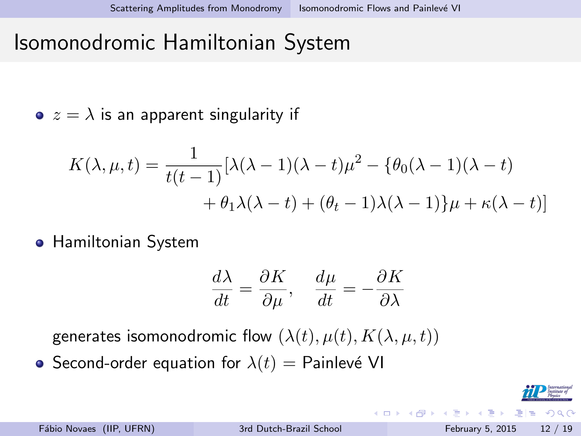#### <span id="page-12-0"></span>Isomonodromic Hamiltonian System

 $\bullet z = \lambda$  is an apparent singularity if

$$
K(\lambda, \mu, t) = \frac{1}{t(t-1)}[\lambda(\lambda - 1)(\lambda - t)\mu^2 - {\theta_0(\lambda - 1)(\lambda - t)}
$$

$$
+ \theta_1 \lambda(\lambda - t) + (\theta_t - 1)\lambda(\lambda - 1) \mu + \kappa(\lambda - t)]
$$

**• Hamiltonian System** 

$$
\frac{d\lambda}{dt} = \frac{\partial K}{\partial \mu}, \quad \frac{d\mu}{dt} = -\frac{\partial K}{\partial \lambda}
$$

generates isomonodromic flow  $(\lambda(t), \mu(t), K(\lambda, \mu, t))$ 

• Second-order equation for  $\lambda(t) =$  Painlevé VI

모바람

 $\Omega$ 

**A** To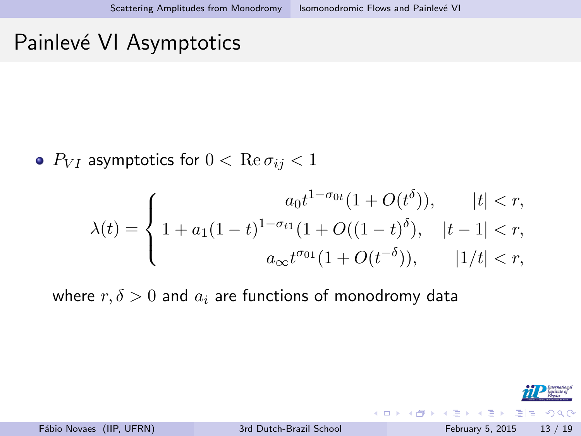#### <span id="page-13-0"></span>Painlevé VI Asymptotics

•  $P_{VI}$  asymptotics for  $0 < \text{Re } \sigma_{ij} < 1$ 

$$
\lambda(t) = \begin{cases}\n a_0 t^{1-\sigma_{0t}} (1 + O(t^{\delta})), & |t| < r, \\
1 + a_1 (1-t)^{1-\sigma_{t1}} (1 + O((1-t)^{\delta}), & |t-1| < r, \\
a_{\infty} t^{\sigma_{01}} (1 + O(t^{-\delta})), & |1/t| < r,\n\end{cases}
$$

where  $r, \delta > 0$  and  $a_i$  are functions of monodromy data



イロト イ押ト イヨト イヨト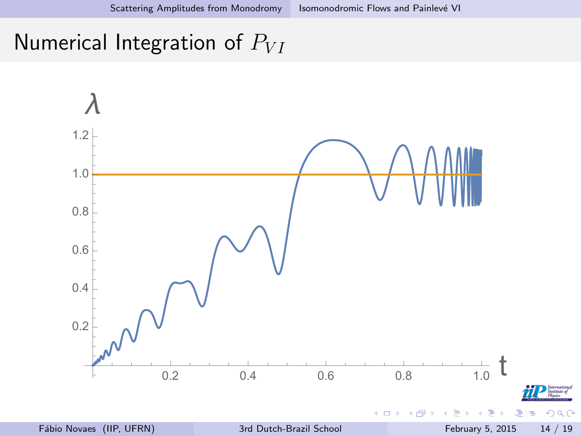#### <span id="page-14-0"></span>Numerical Integration of  $P_{VI}$

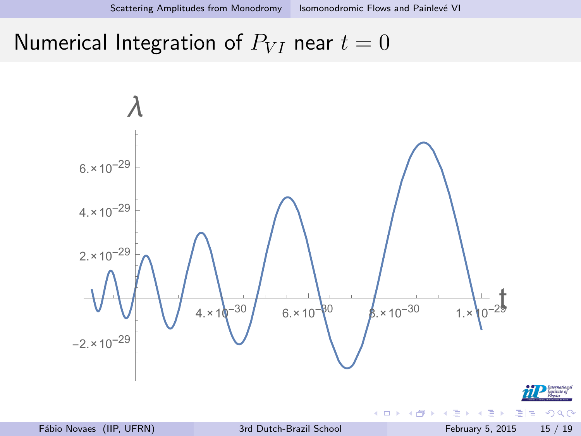#### <span id="page-15-0"></span>Numerical Integration of  $P_{VI}$  near  $t = 0$

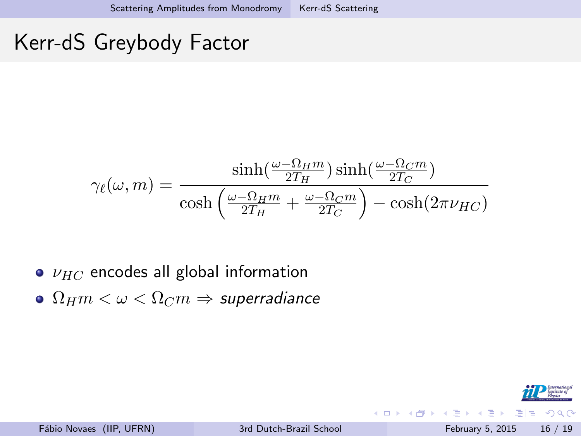#### <span id="page-16-0"></span>Kerr-dS Greybody Factor

$$
\gamma_{\ell}(\omega, m) = \frac{\sinh(\frac{\omega - \Omega_H m}{2T_H}) \sinh(\frac{\omega - \Omega_C m}{2T_C})}{\cosh(\frac{\omega - \Omega_H m}{2T_H} + \frac{\omega - \Omega_C m}{2T_C}) - \cosh(2\pi\nu_{HC})}
$$

- $\bullet$   $\nu_{HC}$  encodes all global information
- $\bullet$   $\Omega_H m < \omega < \Omega_C m \Rightarrow$  superradiance



그리 말...

一本 語り

 $\sim$ 

4 同 下

4 D F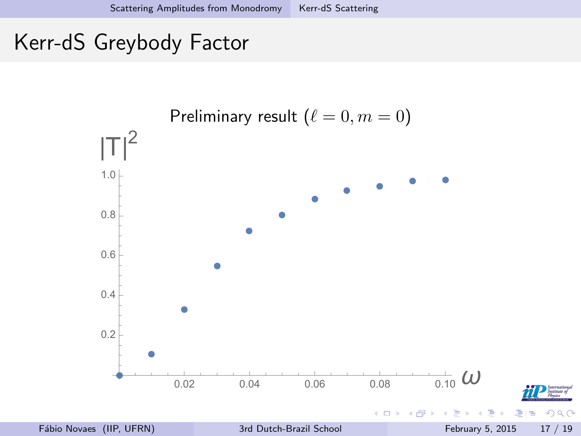# <span id="page-17-0"></span>Kerr-dS Greybody Factor

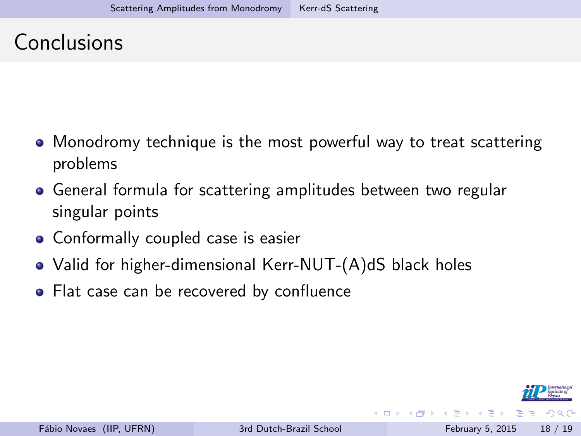# <span id="page-18-0"></span>Conclusions

- Monodromy technique is the most powerful way to treat scattering problems
- General formula for scattering amplitudes between two regular singular points
- Conformally coupled case is easier
- Valid for higher-dimensional Kerr-NUT-(A)dS black holes
- Flat case can be recovered by confluence



 $\triangleright$   $\rightarrow$   $\exists$   $\rightarrow$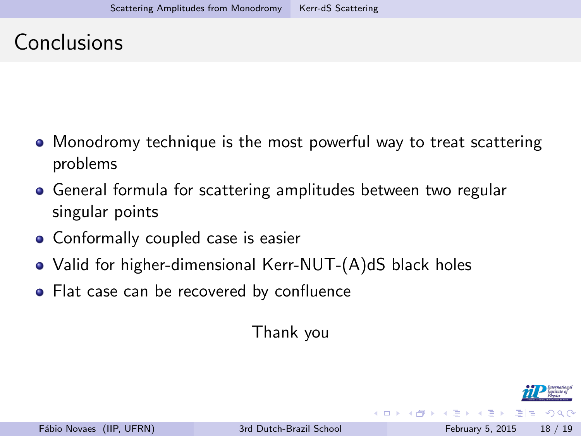# <span id="page-19-0"></span>Conclusions

- Monodromy technique is the most powerful way to treat scattering problems
- General formula for scattering amplitudes between two regular singular points
- Conformally coupled case is easier
- Valid for higher-dimensional Kerr-NUT-(A)dS black holes
- Flat case can be recovered by confluence

Thank you

 $E|E \cap Q$ 

 $\triangleright$   $\rightarrow$   $\exists$   $\rightarrow$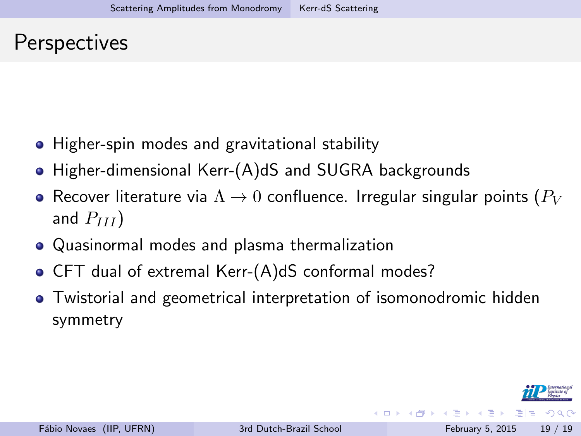#### <span id="page-20-0"></span>**Perspectives**

- Higher-spin modes and gravitational stability
- Higher-dimensional Kerr-(A)dS and SUGRA backgrounds
- Recover literature via  $\Lambda \rightarrow 0$  confluence. Irregular singular points ( $P_V$ and  $P_{III}$ )
- Quasinormal modes and plasma thermalization
- CFT dual of extremal Kerr-(A)dS conformal modes?
- Twistorial and geometrical interpretation of isomonodromic hidden symmetry



4 ロ ) 4 何 ) 4 ヨ ) 4 ヨ ) ヨ ヨ り 9 0 0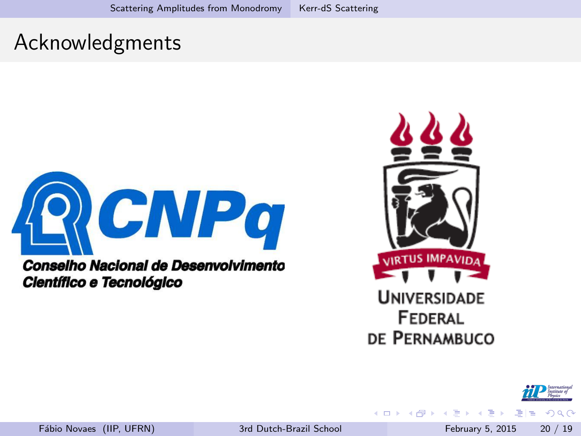# <span id="page-21-0"></span>Acknowledgments



Conselho Nacional de Desenvolvimento Científico e Tecnológico



 $\leftarrow$ 



드바

na m≊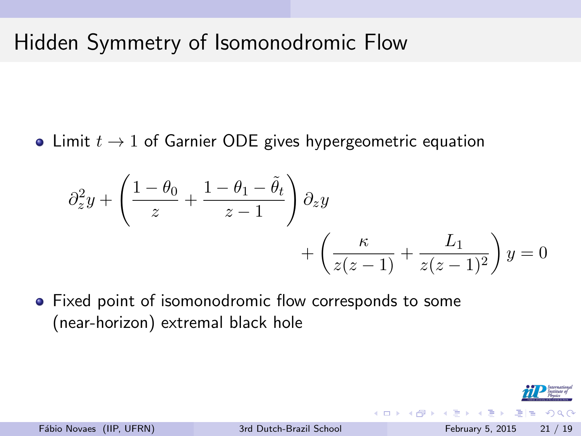# Hidden Symmetry of Isomonodromic Flow

• Limit  $t \to 1$  of Garnier ODE gives hypergeometric equation

$$
\partial_z^2 y + \left(\frac{1-\theta_0}{z} + \frac{1-\theta_1-\tilde{\theta}_t}{z-1}\right) \partial_z y + \left(\frac{\kappa}{z(z-1)} + \frac{L_1}{z(z-1)^2}\right) y = 0
$$

Fixed point of isomonodromic flow corresponds to some (near-horizon) extremal black hole

격대

**ALCOHOL:**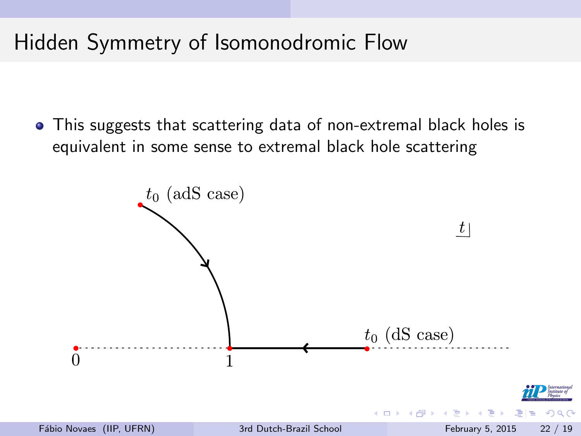# Hidden Symmetry of Isomonodromic Flow

This suggests that scattering data of non-extremal black holes is equivalent in some sense to extremal black hole scattering

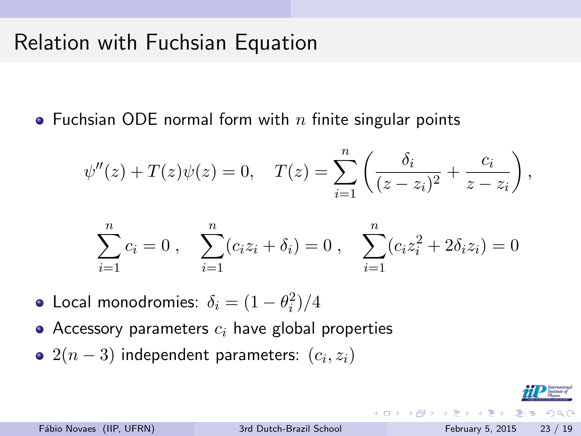# Relation with Fuchsian Equation

• Fuchsian ODE normal form with n finite singular points

$$
\psi''(z) + T(z)\psi(z) = 0
$$
,  $T(z) = \sum_{i=1}^{n} \left( \frac{\delta_i}{(z - z_i)^2} + \frac{c_i}{z - z_i} \right)$ ,

$$
\sum_{i=1}^{n} c_i = 0 , \quad \sum_{i=1}^{n} (c_i z_i + \delta_i) = 0 , \quad \sum_{i=1}^{n} (c_i z_i^2 + 2\delta_i z_i) = 0
$$

- Local monodromies:  $\delta_i = (1-\theta_i^2)/4$
- Accessory parameters  $c_i$  have global properties
- $2(n-3)$  independent parameters:  $\left(c_i,z_i\right)$

K □ ▶ K @ ▶ K 글 ▶ K 글 ▶ \_글 님 \_ K) Q (^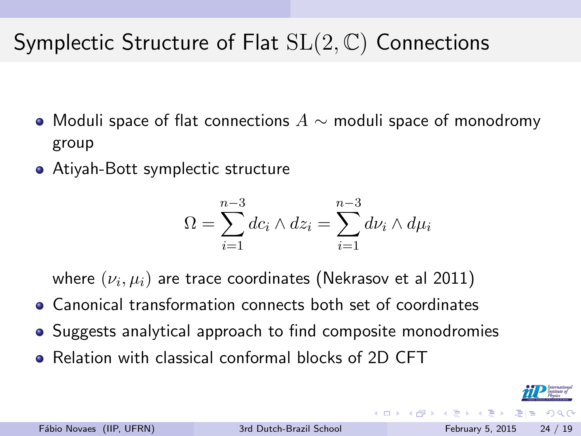# Symplectic Structure of Flat  $SL(2,\mathbb{C})$  Connections

- $\bullet$  Moduli space of flat connections  $A \sim$  moduli space of monodromy group
- Atiyah-Bott symplectic structure

$$
\Omega = \sum_{i=1}^{n-3} dc_i \wedge dz_i = \sum_{i=1}^{n-3} d\nu_i \wedge d\mu_i
$$

where  $(\nu_i,\mu_i)$  are trace coordinates (Nekrasov et al 2011)

- Canonical transformation connects both set of coordinates
- Suggests analytical approach to find composite monodromies
- Relation with classical conformal blocks of 2D CFT

**ALCOHOL:**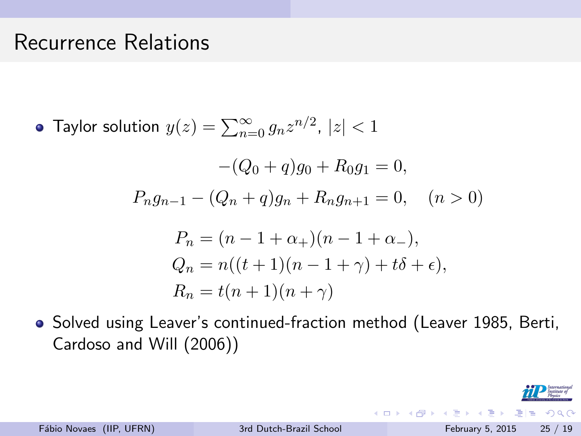#### Recurrence Relations

Taylor solution  $y(z)=\sum_{n=0}^{\infty}g_nz^{n/2}$ ,  $|z|< 1$ 

$$
-(Q_0 + q)g_0 + R_0g_1 = 0,
$$
  
\n
$$
P_n g_{n-1} - (Q_n + q)g_n + R_n g_{n+1} = 0, \quad (n > 0)
$$
  
\n
$$
P_n = (n - 1 + \alpha_+)(n - 1 + \alpha_-),
$$
  
\n
$$
Q_n = n((t + 1)(n - 1 + \gamma) + t\delta + \epsilon),
$$
  
\n
$$
R_n = t(n + 1)(n + \gamma)
$$

Solved using Leaver's continued-fraction method (Leaver 1985, Berti, Cardoso and Will (2006))



Fábio Novaes (IIP, UFRN) [3rd Dutch-Brazil School](#page-0-0) February 5, 2015 25 / 19

イロト イ押ト イヨト イヨト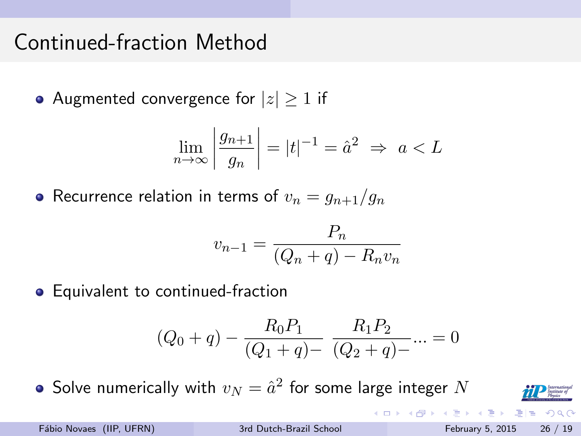# Continued-fraction Method

• Augmented convergence for  $|z| \geq 1$  if

$$
\lim_{n \to \infty} \left| \frac{g_{n+1}}{g_n} \right| = |t|^{-1} = \hat{a}^2 \implies a < L
$$

• Recurrence relation in terms of  $v_n = g_{n+1}/g_n$ 

$$
v_{n-1} = \frac{P_n}{(Q_n + q) - R_n v_n}
$$

• Equivalent to continued-fraction

$$
(Q_0 + q) - \frac{R_0 P_1}{(Q_1 + q) - \overline{(Q_2 + q) - \cdots} = 0
$$

Solve numerically with  $v_N=\hat a^2$  for some large integer  $N$ 



 $\Omega$ 

국 1월

イロト イ押ト イヨト イヨト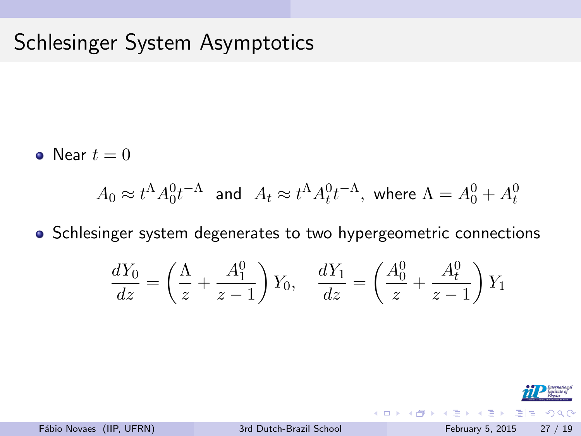# Schlesinger System Asymptotics

• Near  $t=0$ 

$$
A_0 \approx t^{\Lambda} A_0^0 t^{-\Lambda} \quad \text{and} \quad A_t \approx t^{\Lambda} A_t^0 t^{-\Lambda}, \text{ where } \Lambda = A_0^0 + A_t^0
$$

• Schlesinger system degenerates to two hypergeometric connections

$$
\frac{dY_0}{dz} = \left(\frac{\Lambda}{z} + \frac{A_1^0}{z - 1}\right) Y_0, \quad \frac{dY_1}{dz} = \left(\frac{A_0^0}{z} + \frac{A_t^0}{z - 1}\right) Y_1
$$



4 D F

 $\leftarrow$   $\leftarrow$   $\leftarrow$ 

ラメ メラメ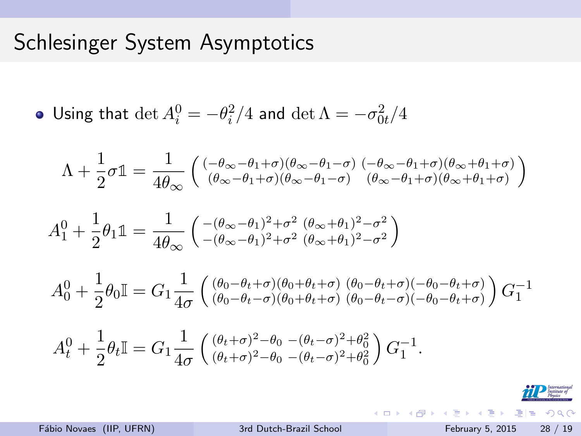### Schlesinger System Asymptotics

• Using that 
$$
\det A_i^0 = -\theta_i^2/4
$$
 and  $\det \Lambda = -\sigma_{0t}^2/4$ 

$$
\Lambda + \frac{1}{2}\sigma \mathbb{1} = \frac{1}{4\theta_{\infty}} \left( \begin{smallmatrix} (-\theta_{\infty}-\theta_1+\sigma)(\theta_{\infty}-\theta_1-\sigma) & (-\theta_{\infty}-\theta_1+\sigma)(\theta_{\infty}+\theta_1+\sigma) \\ (\theta_{\infty}-\theta_1+\sigma)(\theta_{\infty}-\theta_1-\sigma) & (\theta_{\infty}-\theta_1+\sigma)(\theta_{\infty}+\theta_1+\sigma) \end{smallmatrix} \right)
$$

$$
A_1^0 + \frac{1}{2}\theta_1 \mathbb{1} = \frac{1}{4\theta_{\infty}} \left( \begin{array}{c} -(\theta_{\infty} - \theta_1)^2 + \sigma^2 (\theta_{\infty} + \theta_1)^2 - \sigma^2 \\ -(\theta_{\infty} - \theta_1)^2 + \sigma^2 (\theta_{\infty} + \theta_1)^2 - \sigma^2 \end{array} \right)
$$

$$
A_0^0 + \frac{1}{2}\theta_0 \mathbb{I} = G_1 \frac{1}{4\sigma} \left( \begin{array}{c} (\theta_0 - \theta_t + \sigma)(\theta_0 + \theta_t + \sigma) & (\theta_0 - \theta_t + \sigma)(-\theta_0 - \theta_t + \sigma) \\ (\theta_0 - \theta_t - \sigma)(\theta_0 + \theta_t + \sigma) & (\theta_0 - \theta_t - \sigma)(-\theta_0 - \theta_t + \sigma) \end{array} \right) G_1^{-1}
$$

$$
A_t^0 + \frac{1}{2}\theta_t \mathbb{I} = G_1 \frac{1}{4\sigma} \left( \frac{(\theta_t + \sigma)^2 - \theta_0 - (\theta_t - \sigma)^2 + \theta_0^2}{(\theta_t + \sigma)^2 - \theta_0 - (\theta_t - \sigma)^2 + \theta_0^2} \right) G_1^{-1}.
$$

K ロ > K 個 > K ミ > K ミ > (로) = 10 0 0 0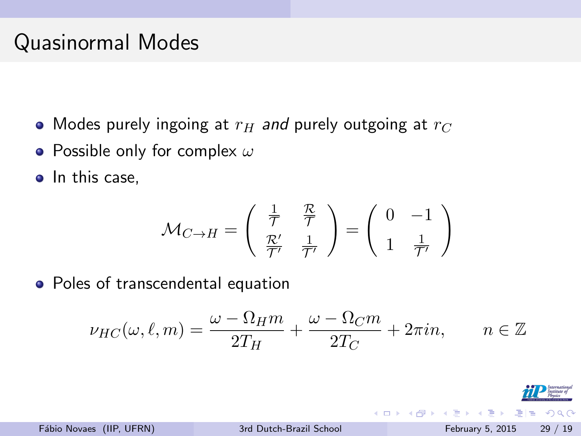# Quasinormal Modes

- Modes purely ingoing at  $r_H$  and purely outgoing at  $r_C$
- Possible only for complex  $\omega$
- In this case,

$$
\mathcal{M}_{C \to H} = \begin{pmatrix} \frac{1}{\mathcal{T}} & \frac{\mathcal{R}}{\mathcal{T}} \\ \frac{\mathcal{R}'}{\mathcal{T}'} & \frac{1}{\mathcal{T}'} \end{pmatrix} = \begin{pmatrix} 0 & -1 \\ 1 & \frac{1}{\mathcal{T}'} \end{pmatrix}
$$

• Poles of transcendental equation

$$
\nu_{HC}(\omega,\ell,m) = \frac{\omega - \Omega_H m}{2T_H} + \frac{\omega - \Omega_C m}{2T_C} + 2\pi i n, \qquad n \in \mathbb{Z}
$$

 $\leftarrow$ 

 $\Omega$ 

na ma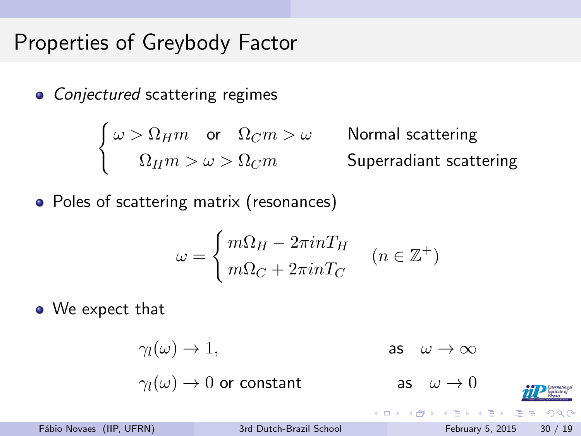### Properties of Greybody Factor

• Conjectured scattering regimes

$$
\begin{cases} \omega > \Omega_H m & \text{or} \quad \Omega_C m > \omega \\ \Omega_H m > \omega > \Omega_C m & \text{Superradiant scattering} \end{cases}
$$

• Poles of scattering matrix (resonances)

$$
\omega = \begin{cases} m\Omega_H - 2\pi i nT_H \\ m\Omega_C + 2\pi i nT_C \end{cases} (n \in \mathbb{Z}^+)
$$

• We expect that

 $\gamma_l(\omega) \to 1$ , as  $\omega \to \infty$ 

 $\gamma_l(\omega) \to 0$  or constant as  $\omega \to 0$ K □ ▶ K @ ▶ K 글 ▶ K 글 ▶ \_글 님 \_ K) Q (^